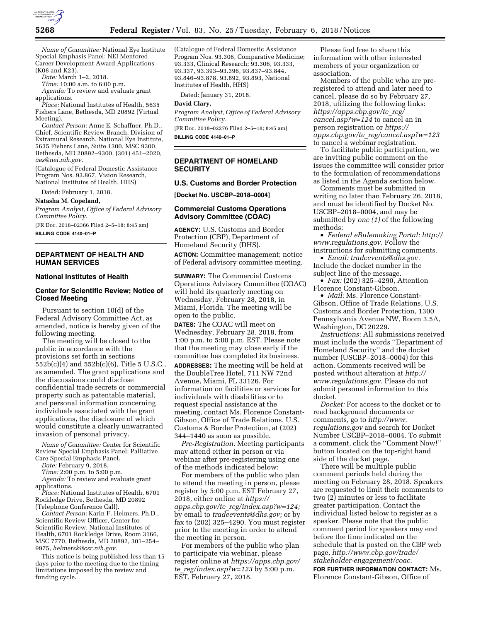

*Name of Committee:* National Eye Institute Special Emphasis Panel; NEI Mentored Career Development Award Applications (K08 and K23).

*Date:* March 1–2, 2018.

*Time:* 10:00 a.m. to 6:00 p.m.

*Agenda:* To review and evaluate grant applications.

*Place:* National Institutes of Health, 5635 Fishers Lane, Bethesda, MD 20892 (Virtual Meeting).

*Contact Person:* Anne E. Schaffner, Ph.D., Chief, Scientific Review Branch, Division of Extramural Research, National Eye Institute, 5635 Fishers Lane, Suite 1300, MSC 9300, Bethesda, MD 20892–9300, (301) 451–2020, *[aes@nei.nih.gov](mailto:aes@nei.nih.gov)*.

(Catalogue of Federal Domestic Assistance Program Nos. 93.867, Vision Research, National Institutes of Health, HHS)

Dated: February 1, 2018.

**Natasha M. Copeland,** 

*Program Analyst, Office of Federal Advisory Committee Policy.* 

[FR Doc. 2018–02366 Filed 2–5–18; 8:45 am] **BILLING CODE 4140–01–P** 

## **DEPARTMENT OF HEALTH AND HUMAN SERVICES**

#### **National Institutes of Health**

## **Center for Scientific Review; Notice of Closed Meeting**

Pursuant to section 10(d) of the Federal Advisory Committee Act, as amended, notice is hereby given of the following meeting.

The meeting will be closed to the public in accordance with the provisions set forth in sections 552b(c)(4) and 552b(c)(6), Title 5 U.S.C., as amended. The grant applications and the discussions could disclose confidential trade secrets or commercial property such as patentable material, and personal information concerning individuals associated with the grant applications, the disclosure of which would constitute a clearly unwarranted invasion of personal privacy.

*Name of Committee:* Center for Scientific Review Special Emphasis Panel; Palliative Care Special Emphasis Panel.

*Date:* February 9, 2018.

*Time:* 2:00 p.m. to 5:00 p.m.

*Agenda:* To review and evaluate grant applications.

*Place:* National Institutes of Health, 6701 Rockledge Drive, Bethesda, MD 20892 (Telephone Conference Call).

*Contact Person:* Karin F. Helmers, Ph.D., Scientific Review Officer, Center for Scientific Review, National Institutes of Health, 6701 Rockledge Drive, Room 3166, MSC 7770, Bethesda, MD 20892, 301–254– 9975, *[helmersk@csr.nih.gov](mailto:helmersk@csr.nih.gov)*.

This notice is being published less than 15 days prior to the meeting due to the timing limitations imposed by the review and funding cycle.

(Catalogue of Federal Domestic Assistance Program Nos. 93.306, Comparative Medicine; 93.333, Clinical Research; 93.306, 93.333, 93.337, 93.393–93.396, 93.837–93.844, 93.846–93.878, 93.892, 93.893, National Institutes of Health, HHS)

Dated: January 31, 2018.

# **David Clary,**

*Program Analyst, Office of Federal Advisory Committee Policy.*  [FR Doc. 2018–02276 Filed 2–5–18; 8:45 am]

**BILLING CODE 4140–01–P** 

**DEPARTMENT OF HOMELAND SECURITY** 

### **U.S. Customs and Border Protection**

**[Docket No. USCBP–2018–0004]** 

### **Commercial Customs Operations Advisory Committee (COAC)**

**AGENCY:** U.S. Customs and Border Protection (CBP), Department of Homeland Security (DHS).

**ACTION:** Committee management; notice of Federal advisory committee meeting.

**SUMMARY:** The Commercial Customs Operations Advisory Committee (COAC) will hold its quarterly meeting on Wednesday, February 28, 2018, in Miami, Florida. The meeting will be open to the public.

**DATES:** The COAC will meet on Wednesday, February 28, 2018, from 1:00 p.m. to 5:00 p.m. EST. Please note that the meeting may close early if the committee has completed its business.

**ADDRESSES:** The meeting will be held at the DoubleTree Hotel, 711 NW 72nd Avenue, Miami, FL 33126. For information on facilities or services for individuals with disabilities or to request special assistance at the meeting, contact Ms. Florence Constant-Gibson, Office of Trade Relations, U.S. Customs & Border Protection, at (202) 344–1440 as soon as possible.

*Pre-Registration:* Meeting participants may attend either in person or via webinar after pre-registering using one of the methods indicated below:

For members of the public who plan to attend the meeting in person, please register by 5:00 p.m. EST February 27, 2018, either online at *[https://](https://apps.cbp.gov/te_reg/index.asp?w=124) apps.cbp.gov/te*\_*[reg/index.asp?w=124;](https://apps.cbp.gov/te_reg/index.asp?w=124)*  by email to *[tradeevents@dhs.gov;](mailto:tradeevents@dhs.gov)* or by fax to (202) 325–4290. You must register prior to the meeting in order to attend the meeting in person.

For members of the public who plan to participate via webinar, please register online at *[https://apps.cbp.gov/](https://apps.cbp.gov/te_reg/index.asp?w=123) te*\_*[reg/index.asp?w=123](https://apps.cbp.gov/te_reg/index.asp?w=123)* by 5:00 p.m. EST, February 27, 2018.

Please feel free to share this information with other interested members of your organization or association.

Members of the public who are preregistered to attend and later need to cancel, please do so by February 27, 2018, utilizing the following links: *[https://apps.cbp.gov/te](https://apps.cbp.gov/te_reg/cancel.asp?w=124)*\_*reg/ [cancel.asp?w=124](https://apps.cbp.gov/te_reg/cancel.asp?w=124)* to cancel an in person registration or *[https://](https://apps.cbp.gov/te_reg/cancel.asp?w=123) apps.cbp.gov/te*\_*[reg/cancel.asp?w=123](https://apps.cbp.gov/te_reg/cancel.asp?w=123)*  to cancel a webinar registration.

To facilitate public participation, we are inviting public comment on the issues the committee will consider prior to the formulation of recommendations as listed in the Agenda section below.

Comments must be submitted in writing no later than February 26, 2018, and must be identified by Docket No. USCBP–2018–0004, and may be submitted by *one (1)* of the following methods:

• *Federal eRulemaking Portal: [http://](http://www.regulations.gov)  [www.regulations.gov.](http://www.regulations.gov)* Follow the instructions for submitting comments.

• *Email: [tradeevents@dhs.gov.](mailto:tradeevents@dhs.gov)*  Include the docket number in the subject line of the message.

• *Fax:* (202) 325–4290, Attention Florence Constant-Gibson.

• *Mail:* Ms. Florence Constant-Gibson, Office of Trade Relations, U.S. Customs and Border Protection, 1300 Pennsylvania Avenue NW, Room 3.5A, Washington, DC 20229.

*Instructions:* All submissions received must include the words ''Department of Homeland Security'' and the docket number (USCBP–2018–0004) for this action. Comments received will be posted without alteration at *[http://](http://www.regulations.gov) [www.regulations.gov.](http://www.regulations.gov)* Please do not submit personal information to this docket.

*Docket:* For access to the docket or to read background documents or comments, go to *[http://www.](http://www.regulations.gov) [regulations.gov](http://www.regulations.gov)* and search for Docket Number USCBP–2018–0004. To submit a comment, click the ''Comment Now!'' button located on the top-right hand side of the docket page.

There will be multiple public comment periods held during the meeting on February 28, 2018. Speakers are requested to limit their comments to two (2) minutes or less to facilitate greater participation. Contact the individual listed below to register as a speaker. Please note that the public comment period for speakers may end before the time indicated on the schedule that is posted on the CBP web page, *[http://www.cbp.gov/trade/](http://www.cbp.gov/trade/stakeholder-engagement/coac)  [stakeholder-engagement/coac.](http://www.cbp.gov/trade/stakeholder-engagement/coac)* 

**FOR FURTHER INFORMATION CONTACT:** Ms. Florence Constant-Gibson, Office of